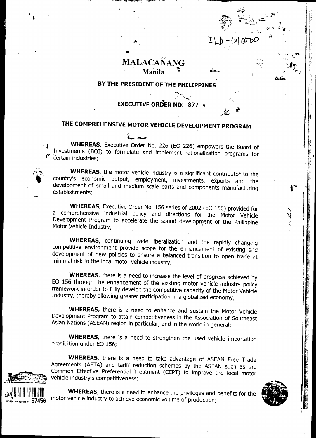## **MALACANANG** Manila

 $-040$  DOC

## BY THE PRESIDENT OF THE PHILIPPINES

**EXECUTIVE ORDER NO. 877-A** 

# THE COMPREHENSIVE MOTOR VEHICLE DEVELOPMENT PROGRAM

WHEREAS, Executive Order No. 226 (EO 226) empowers the Board of Investments (BOI) to formulate and implement rationalization programs for certain industries;

WHEREAS, the motor vehicle industry is a significant contributor to the country's economic output, employment, investments, exports and the development of small and medium scale parts and components manufacturing establishments;

WHEREAS, Executive Order No. 156 series of 2002 (EO 156) provided for a comprehensive industrial policy and directions for the Motor Vehicle Development Program to accelerate the sound development of the Philippine Motor Vehicle Industry;

WHEREAS, continuing trade liberalization and the rapidly changing competitive environment provide scope for the enhancement of existing and development of new policies to ensure a balanced transition to open trade at minimal risk to the local motor vehicle industry;

WHEREAS, there is a need to increase the level of progress achieved by EO 156 through the enhancement of the existing motor vehicle industry policy framework in order to fully develop the competitive capacity of the Motor Vehicle Industry, thereby allowing greater participation in a globalized economy;

WHEREAS, there is a need to enhance and sustain the Motor Vehicle Development Program to attain competitiveness in the Association of Southeast Asian Nations (ASEAN) region in particular, and in the world in general;

WHEREAS, there is a need to strengthen the used vehicle importation prohibition under EO 156;

WHEREAS, there is a need to take advantage of ASEAN Free Trade Agreements (AFTA) and tariff reduction schemes by the ASEAN such as the Common Effective Preferential Treatment (CEPT) to improve the local motor vehicle industry's competitiveness:



WHEREAS, there is a need to enhance the privileges and benefits for the motor vehicle industry to achieve economic volume of production;

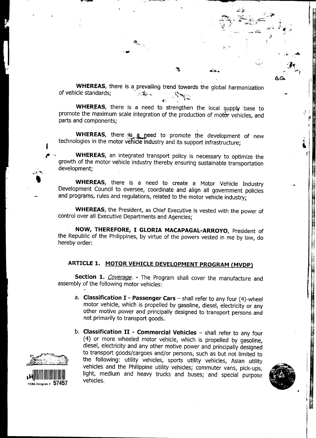WHEREAS, there is a prevailing trend towards the global harmonization of vehicle standards;  $\sum_{i=1}^n x_i$ .  $\mathbf{r}$ ,  $\mathbf{r}$  ,  $\mathbf{r}$ 

, .~ ~ "",'/: ,!¥~ if,

-oc",. . ~ -

 $\mathcal{L} = \mathcal{L} \left( \mathcal{L} \right)$ 

. A set of the set of the set of the set of the set of the set of the set of the set of the set of the set of the set of the set of the set of the set of the set of the set of the set of the set of the set of the set of t

..., , ,.", .4

~~. ,,""";..:,

~"'\*4.. .~~F ,G. ,I ;

 $\mathcal{G} \subseteq \mathcal{G}$  , we have  $\mathcal{G} \subset \mathcal{G}$  $\cdot$ 

"..' , ,,~

 $\sigma$   $\sigma$ 

"',.~ '- "'(""'"""'~,~ --

WHEREAS, there is a need to strengthen the local supply base to promote the maximum scale integration of the production of motor vehicles, and parts and components;

WHEREAS, there is a need to promote the development of new technologies in the motor vehicle industry and its support infrastructure;

WHEREAS, an integrated transport policy is necessary to optimize the growth of the motor vehicle industry thereby ensuring sustainable transportation development; , and  $\mathbb{R}^3$  , and  $\mathbb{R}^3$  , and  $\mathbb{R}^3$  , and  $\mathbb{R}^3$  , and  $\mathbb{R}^3$ 

WHEREAS, there is a need to create a Motor Vehicle Industry Development Council to oversee, coordinate and align all government policies and programs, rules and regulations, related to the motor vehicle industry;

WHEREAS, the President, as Chief Executive is vested with the power of control over all Executive Departments and Agencies;

NOW, THEREFORE, I GLORIA MACAPAGAL-ARROYO, President of the Republic of the Philippines, by virtue of the powers vested in me by law, do hereby order:

## ARTICLE 1. MOTOR VEHICLE DEVELOPMENT PROGRAM (MVDP)

Section 1. Coverage. - The Program shall cover the manufacture and assembly of the following motor vehicles:

- a. Classification  $I P$ assenger Cars shall refer to any four (4)-wheel motor vehicle, which is propelled by gasoline, diesel, electricity or any other motive power and principally designed to transport persons and not primarily to transport goods.
- b. Classification  $II$  Commercial Vehicles  $-$  shall refer to any four (4) or more wheeled motor vehicle, which is propelled by gasoline, diesel, electricity and any other motive power and principally designed to transport goods/cargoes and/or persons, such as but not limited to the following: utility vehicles, sports utility vehicles, Asian utility the following: utility vehicles, sports utility vehicles, Asian utility<br>vehicles and the Philippine utility vehicles; commuter vans, pick-ups,<br>light, medium and heavy trucks and buses; and special purpose<br>vehicles.



 $\ddot{\phantom{0}}$ 

!

!



~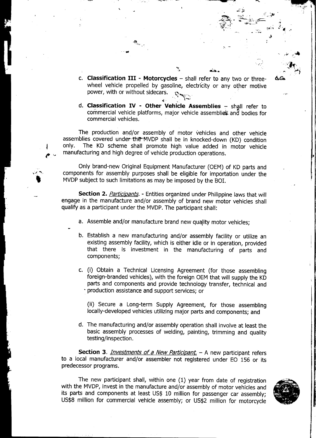c. Classification III - Motorcycles - shall refer to any two or threewheel vehicle propelled by gasoline, electricity or any other motive power, with or without sidecars.

"""" , '~ ~ "~'-'C~ ~~

 $\mathbf{v}$ 

..

, where  $\frac{1}{2}$  , where  $\frac{1}{2}$  , where  $\frac{1}{2}$  , where  $\frac{1}{2}$  , where  $\frac{1}{2}$ 

 $\mathcal{A}^{\mathbb{R}}$  .  $\mathbb{R}^{\mathbb{R}}$  .  $\mathbb{R}^{\mathbb{R}}$  .  $\mathbb{R}^{\mathbb{R}}$  .  $\mathbb{R}^{\mathbb{R}}$ 

-a, etc. - A, etc. - A, etc. - A, etc. - A, etc. - A, etc. - A, etc. - A, etc.

 $\mathbf{v} = \mathbf{v} \cdot \mathbf{v}$  , where  $\mathbf{v} = \mathbf{v} \cdot \mathbf{v}$  , where  $\mathbf{v} = \mathbf{v} \cdot \mathbf{v}$ 

'iitf.. "..,." ,," 'a -~ ~- ~ ~':;:' c, ':'; "

~. ~. ,..,,: ,..~~ i

 $\mathcal{A}$  . The contract of  $\mathcal{A}$ 

 $\bullet$  , and  $\bullet$  , and  $\bullet$ d. Classification IV - Other Vehicle Assemblies - shall refer to commercial vehicle platforms, major vehicle assemblies and bodies for commercial vehicles.

The production and/or assembly of motor vehicles and other vehicle assemblies covered under the MVDP shall be in knocked-down (KD) condition only. The KD scheme shall promote high value added in motor vehicle manufacturing and high degree of vehicle production operations.

Only brand-new Original Equipment Manufacturer (OEM) of KD parts and components for assembly purposes shall be eligible for importation under the .MVDP subject to such limitations as may be imposed by the Bor.

Section 2. Participants. - Entities organized under Philippine laws that will engage in the manufacture and/or assembly of brand new motor vehicles shall qualify as a participant under the MVDP. The participant shall:

- a. Assemble and/or manufacture brand new quaJity motor vehicles;
- b. Establish a new manufacturing and/or assembly facility or utilize an existing assembly facility, which is either idle or in operation, provided that there is investment in the manufacturing of parts and components;
- c. (i) Obtain a Technical Licensing Agreement (for those assembling foreign-branded vehicles), with the foreign OEM that will supply the KD parts and components and provide technology transfer, technical and -production assistance and support services; or

(ii) Secure a Long-term Supply Agreement, for those assembling locally-developed vehicles utilizing major parts and components; and

d. The manufacturing and/or assembly operation shall involve at least the basic assembly processes of welding, painting, trimming and quality testing/inspection.

Section 3. *Investments of a New Participant* - A new participant refers to a local manufacturer and/or assembler not registered under EO 156 or its predecessor programs.

The new participant shall, within one (1) year from date of registration with the MVDP, invest in the manufacture and/or assembly of motor vehicles and its parts and components at least US\$ 10 million for passenger car assembly; US\$8 million for commercial vehicle assembly; or US\$2 million for motorcycle

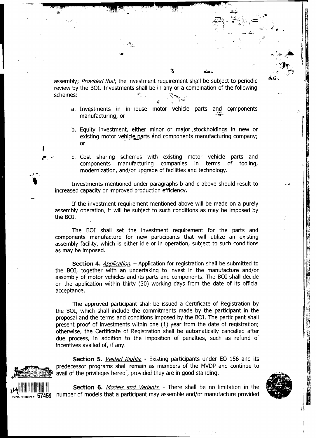assembly; Provided that, the investment requirement shall be subject to periodic review by the BOI. Investments shall be in any or a combination of the following schemes' "- ..,.. ."--"--' .-,' '  $\sim$   $\sim$   $\sim$   $\sim$   $\sim$ 

ፈ።

a. Inv~stments in in-house motor vehicle parts and cQmponents , "'" ", manufacturing; or "" ,~ '

--,-,.'C,-- , ~., " "'-' "

~ .,.;.'" l;;j ,:,'~ .,~',,~ t~

 $\mathcal{A}_{\mathcal{A}}$ 

 $\rightarrow$  1.1% in the set of  $\rightarrow$ 

..~., ~" r~ : -::'}';- "."".0 ,;o;~~:-;",.'!~ .:, " !

 $\mathcal{L} = \{ \mathcal{L} \mid \mathcal{L} \in \mathcal{L} \}$  , where  $\mathcal{L} = \{ \mathcal{L} \mid \mathcal{L} \in \mathcal{L} \}$  , where  $\mathcal{L} = \{ \mathcal{L} \mid \mathcal{L} \in \mathcal{L} \}$ 

-'. ,~ ,'" "

 $\mathcal{L}^{\mathcal{L}}(\mathcal{L}^{\mathcal{L}})$  and  $\mathcal{L}^{\mathcal{L}}(\mathcal{L}^{\mathcal{L}})$  . The contribution of the set of  $\mathcal{L}^{\mathcal{L}}$ 

- b. Equity investment, either minor or major, stockholdings in new or existing motor vehi<;~rts and components manufacturing company; ...:r -, or
- c. Cost sharing schemes with existing motor vehicle parts and components manufacturing companies in terms of tooling, modernization, and/or upgrade of facilities and technology. ~

~ \

Investments mentioned under paragraphs b and c above should result to increased capacity or improved production efficiency.

If the investment requirement mentioned above will be made on a purely assembly operation, it will be subject to such conditions as may be imposed by the BOI.

The BOI shall set the investment requirement for the parts and components manufacture for new participants that will utilize an existing ~ assembly facility, which is either idle or in operation, subject to such conditions as may be imposed.

Section 4. Application. - Application for registration shall be submitted to the BOI, together with an undertaking to invest in the manufacture and/or assembly of motor vehicles and its parts and components. The BOI shall decide on the application within thirty (30) working days from the date of its official ceptance.  $|\hspace{-.02in}1\hspace{-.02in}2\hspace{-.02in}|$ 

The approved participant shall be issued a Certificate of Registration by the BOI, which shall include the commitments made by the participant in the proposal and the terms and conditions imposed by the BOI. The participant shall present proof of investments within one  $(1)$  year from the date of registration; otherwise, the Certificate of Registration shall be automatically cancelled after ~ due process, in addition to the imposition of penalties, such as refund of incentives availed of, if any.

Section 5. Vested Rights. - Existing participants under EO 156 and its predecessor programs shall remain as members of the MVDP and continue to avail of the privileges hereof, provided they are in good standing.



Section 6. Models and Variants. - There shall be no limitation in the  $P_{\text{D}}$  and  $P_{\text{D}}$  57459 number of models that a participant may assemble and/or manufacture provided

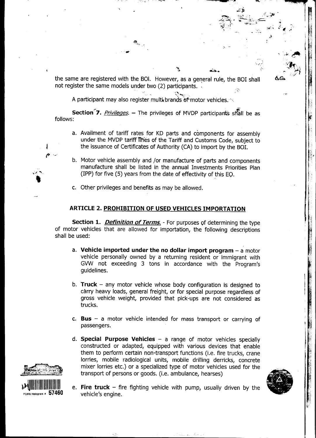the same are registered with the BOI. However, as a general rule, the BOI shall not register the same models under two  $(2)$  participants.  $\widehat{A}$ 

 $\mathcal{L} = \sum_{i=1}^{n} a_i$  , where  $\mathcal{L} = \sum_{i=1}^{n} a_i$ 

~, .-, ~ -~ Cc C ,-,.,..~ "

\. cO .v. .~~~~~; ..i~ ,:' \

..., ' -¥ ~,

 $\sim$   $-$ 

~. , " '::. :~~\i i

 $\mathcal{A}$  ,  $\mathcal{A}$  ,  $\mathcal{A}$ 

 $\sim$   $\omega$ 

~- ,

 $\ddot{\phantom{0}}$ 

A participant may also register multi brands of motor vehicles.

".<br>"" se

**Section 7.** Privileges. - The privileges of MVDP participants shall be as follows:

- a. Availment of tariff rates for KD parts and components for assembly under the MVDP tariff lines of the Tariff and Customs Code, subject to the issuance of Certificates of Authority (CA) to import by the BOI.
- b. Motor vehicle assembly and /or manufacture of parts and components manufacture shall be listed in the annual Investments Priorities Plan  $(IPP)$  for five (5) years from the date of effectivity of this EQ.

 $\sigma$  . The set of the set of the set of the set of the set of the set of the set of the set of the set of the set of the set of the set of the set of the set of the set of the set of the set of the set of the set of the s

c. Other privileges and benefits as may be allowed.

## ARTICLE 2. PROHIBITION OF USED VEHICLES IMPORTATION

Section 1. *Definition of Terms*. - For purposes of determining the type of motor vehicles that are allowed for importation, the following descriptions shall be used:

- a. Vehicle imported under the no dollar import program  $-\frac{a}{2}$  moto vehicle personally owned by a returning resident or immigrant with GVW not exceeding 3 tons in accordance with the Program's guidelines.
- b. Truck any motor vehicle whose body configuration is designed to carry heavy loads, general freight, or for special purpose regardless of gross vehicle weight, provided that pick-ups are not considered as trucks.
- c. Bus a motor vehicle intended for mass transport or carrying of passengers.
- d. Special Purpose Vehicles  $-$  a range of motor vehicles specially constructed or adapted, equipped with various devices that enable them to perform certain non-transport functions (i.e. fire trucks, crane lorries, mobile radiological units, mobile drilling derricks, concrete mixer lorries etc.) or a specialized type of motor vehicles used for the transport of persons or goods. (i.e. ambulance, hearses)





 $\cdot$  -

e. Fire truck - fire fighting vehicle with pump, usually driven by the vehicle's engine.

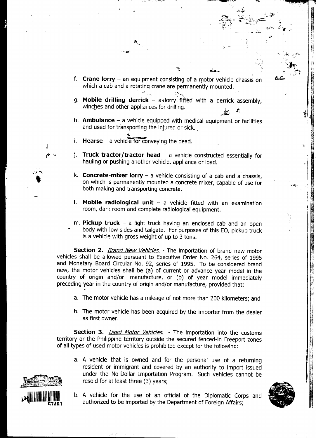f. **Crane lorry** – an equipment consisting of a motor vehicle chassis on which a cab and a rotating crane are permanently mounted.

:.: -"./~,~ ~ C~" -,~

.,-:~', --"".." ~;. ,y~ I;'

 $\mathcal{L} = \mathcal{L} \cup \{ \mathcal{L} \mid \mathcal{L} \in \mathcal{L} \}$ 

-a ;": l; ..",., .:-.. -

 $\mathbf{x}_i$  . The set of the set of the set of the set of the set of the set of the set of the set of the set of the set of the set of the set of the set of the set of the set of the set of the set of the set of the set of t ..~ ~ """} i;;

..' , ;:.. ,'" '

, where  $\frac{1}{2}$  of  $\frac{1}{2}$  of  $\frac{1}{2}$   $\frac{1}{2}$   $\frac{1}{2}$   $\frac{1}{2}$ ':~:;,: \_.""""'~~.::;:. ,;o','.~ ,,},~ " ~

.;;:;-. c'

, where  $\mathbb{Z}$  is the contract of  $\mathbb{Z}$  . The contract of  $\mathbb{Z}$ 

'd' . 1

~ International Property of the United States of the United States of the United States of the United States o  $\odot$   $\mathbb{Z}$   $\mathbb{Z}$   $\mathbb{R}$ 

, ,

~... f

 $\frac{1}{2}$ 

"

'.j

I

- $\sum_{i=1}^n\sum_{j=1}^n\sum_{j=1}^n\sum_{j=1}^n\sum_{j=1}^n\sum_{j=1}^n\sum_{j=1}^n\sum_{j=1}^n\sum_{j=1}^n\sum_{j=1}^n\sum_{j=1}^n\sum_{j=1}^n\sum_{j=1}^n\sum_{j=1}^n\sum_{j=1}^n\sum_{j=1}^n\sum_{j=1}^n\sum_{j=1}^n\sum_{j=1}^n\sum_{j=1}^n\sum_{j=1}^n\sum_{j=1}^n\sum_{j=1}^n\sum_{j=1}^n\sum_{j$ g. **Mobile drilling derrick** – a<lorry fitted with a derrick assembly winches and other appliances for drilling.
- h. **Ambulance**  $-$  a vehicle equipped with medical equipment or facilities and used for transporting the injured or sick.
- i. Hearse a vehicle for conveying the dead.
- **Truck tractor/tractor head a** vehicle constructed essentially for hauling or pushing another vehicle, appliance or load.

 $\frac{1}{2}$  . In the case of the case of the case of the case of the case of the case of the case of the case of the case of the case of the case of the case of the case of the case of the case of the case of the case of th

- k. **Concrete-mixer lorry** a vehicle consisting of a cab and a chassis, on which is permanently mounted a concrete mixer, capable of use for both making and transporting concrete.
- $\mathsf I$ . Mobile radiological unit  $\mathsf I$  a vehicle fitted with an examination room, dark room and complete radiological equipment.
- m. Pickup truck a light truck having an enclosed cab and an open -body with low sides and tailgate. For purposes of this EO, pickup truck is a vehicle with gross weight of up to 3 tons.

Section 2. **Brand New Vehicles.** - The importation of brand new motor vehicles shall be allowed pursuant to Executive Order No. 264, series of 1995 and Monetary Board Circular No. 92, series of 1995. To be considered brand new, the motor vehicles shall be (a) of current or advance year model in the country of origin and/or manufacture, or (b) of year model immediately preceding year in the country of origin and/or manufacture, provided that:

- a. The motor vehicle has a mileage of not more than 200 kilometers: and
- b. The motor vehicle has been acquired by the importer from the dealer as first owner.

**Section 3.** *Used Motor Vehicles.* - The importation into the customs territory or the Philippine territory outside the secured fenced-in Freeport zones of all types of used motor vehicles is prohibited except for the following:

a. A vehicle that is owned and for the personal use of a returning resident or immigrant and covered by an authority to import issued under the No-Dollar Importation Program. Such vehicles cannot be resold for at least three (3) years;





b. A vehicle for the use of an official of the Diplomatic Corps and authorized to be imported by the Department of Foreign Affairs;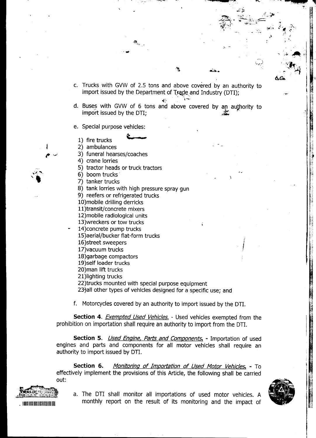c. Trucks with GVW of 2.5 tons and above covered by an authority to import issued by the Department of Trade and Industry (DTI);  $\mathcal{L}$ ,  $\mathcal{L}$ ,  $\mathcal{L}$ ,  $\mathcal{L}$ ,  $\mathcal{L}$ ,  $\mathcal{L}$ ,  $\mathcal{L}$ ,  $\mathcal{L}$ ,  $\mathcal{L}$ ,  $\mathcal{L}$ ,  $\mathcal{L}$ ,  $\mathcal{L}$ ,  $\mathcal{L}$ ,  $\mathcal{L}$ ,  $\mathcal{L}$ ,  $\mathcal{L}$ ,  $\mathcal{L}$ ,  $\mathcal{L}$ ,  $\mathcal{L}$ ,  $\mathcal{L}$ ,  $\mathcal{L}$ ,  $\mathcal{L}$ ,

. The contract of the contract of the contract of the contract of the contract of the contract of the contract of the contract of the contract of the contract of the contract of the contract of the contract of the contrac

 $\frac{1}{\sqrt{2}}$ 

'-,'~ ~ T""",~:"~ ~ """"""'-""'-'~"

 $\ddot{\phantom{0}}$ 

"", ..,~"~ ., . The contract of the contract of the contract of the contract of the contract of the contract of the contract of the contract of the contract of the contract of the contract of the contract of the contract of the contrac

1

~pK,. ."~i':F "

 $\mathbf{r}$  ,  $\mathbf{r}$  ,  $\mathbf{r}$  ,  $\mathbf{r}$  ,  $\mathbf{r}$  ,  $\mathbf{r}$  ,  $\mathbf{r}$  ,  $\mathbf{r}$ 

 $\mathcal{C} = \{ \mathcal{C} \mid \mathcal{C} \in \mathcal{C} \mid \mathcal{C} \in \mathcal{C} \}$  , respectively. The set of  $\mathcal{C}$ 

 $\mathbb{Z}^{\mathbb{Z}^{n}}$  and  $\mathbb{Z}^{\mathbb{Z}^{n}}$  if  $\mathbb{Z}^{\mathbb{Z}^{n}}$  and  $\mathbb{Z}^{\mathbb{Z}^{n}}$ 

.., ~!;.i-'~

c. Trucks with GVW of 2.5 tons and above covered by and above covered by an authority to  $\Delta G$  )  $\frac{1}{2}$  )

- d. Buses with GVW of 6 tons and above covered by an authority to integration in  $\mathbb{I}$  $\frac{1}{2}$  is  $\frac{1}{2}$ ;  $\frac{1}{2}$ ;  $\frac{1}{2}$ ;  $\frac{1}{2}$ ;  $\frac{1}{2}$ ;  $\frac{1}{2}$ ;  $\frac{1}{2}$ ;  $\frac{1}{2}$ ;  $\frac{1}{2}$ ;  $\frac{1}{2}$ ;  $\frac{1}{2}$ ;  $\frac{1}{2}$ ;  $\frac{1}{2}$ ;  $\frac{1}{2}$ ;  $\frac{1}{2}$ ;  $\frac{1}{2}$ ;  $\frac{1}{2}$ ;  $\frac{1}{2}$ ;  $\frac{1}{2}$ ;
- e. Special purpose vehicles:
	- 1) fire trucks
	- 2) ambulances
	- 3) funeral hearses/coaches
	- 4) crane lorries
- 5) tractor heads or truck tractors . ,. 6) boom trucks .i .
	- 6) boom trucks
	- 7) tanker trucks
	- 8) tank lorries with high pressure spray gun
	- 9) reefers or refrigerated trucks
	- 10) mobile drilling derricks
	- 11)transit/concrete mixers
	- 12) mobile radiological units
	- 13)wreckers or tow trucks
	- 14) concrete pump trucks
		- 15)aerial/bucker flat-form trucks
		- 16)street sweepers
		- 17)vacuum trucks
		- 18)garbage compactors
		- 19)self loader trucks
		- 20)man lift trucks
		- 21)lighting trucks
		- 22)trucks mounted with special purpose equipment
		- 23) all other types of vehicles designed for a specific use; and
		- f. Motorcycles covered by an authority to import issued by the DTI.

Section 4. *Exempted Used Vehicles*. - Used vehicles exempted from the prohibition on importation shall require an authority to import from the OTI.

Section 5. *Used Engine, Parts and Components.* - Importation of used engines and parts and components for all motor vehicles shall require an authority to import issued by OTI.

Section 6. Monitoring of Importation of Used Motor Vehicles. - To effectively implement the provisions of this Article, the following shall be carried<br>out:



 $\mathcal{L}_{\mathcal{A}}$ 

a. The DTI shall monitor all importations of used motor vehicles. A .11111111111111111111111111111111111 monthly report on the result of its monitoring and the impact of



--t

:!"

~

I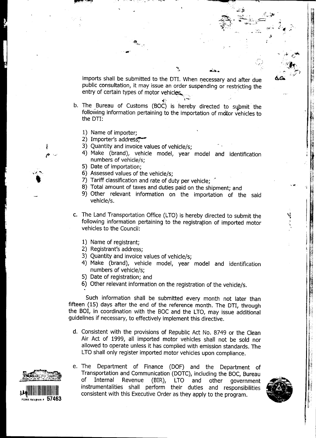imports shall be submitted to the DTI. When necessary and after due public consultation, it may issue an order suspending or restricting the entry of certain types of motor vehicles.

- b. The Bureau of Customs (BOC) is hereby directed to submit the following information pertaining to the importation of motor vehicles to the DTI:
	- 1) Name of importer:
	- 2) Importer's address;
	- 3) Quantity and invoice values of vehicle/s;
	- 4) Make (brand), vehicle model, year model and identification numbers of vehicle/s;
	- 5) Date of importation:
	- 6) Assessed values of the vehicle/s;
	- 7) Tariff classification and rate of duty per vehicle;
	- 8) Total amount of taxes and duties paid on the shipment; and
	- 9) Other relevant information on the importation of the said vehicle/s.
- c. The Land Transportation Office (LTO) is hereby directed to submit the following information pertaining to the registration of imported motor vehicles to the Council:
	- 1) Name of registrant:
	- 2) Registrant's address;
	- 3) Quantity and invoice values of vehicle/s;
	- 4) Make (brand), vehicle model, year model and identification numbers of vehicle/s:
	- 5) Date of registration; and
	- 6) Other relevant information on the registration of the vehicle/s.

Such information shall be submitted every month not later than fifteen (15) days after the end of the reference month. The DTI, through the BOI, in coordination with the BOC and the LTO, may issue additional guidelines if necessary, to effectively implement this directive.

- d. Consistent with the provisions of Republic Act No. 8749 or the Clean Air Act of 1999, all imported motor vehicles shall not be sold nor allowed to operate unless it has complied with emission standards. The LTO shall only register imported motor vehicles upon compliance.
- e. The Department of Finance (DOF) and the Department of Transportation and Communication (DOTC), including the BOC, Bureau LTO and of Internal Revenue  $(BIR)$ , other government instrumentalities shall perform their duties and responsibilities consistent with this Executive Order as they apply to the program.



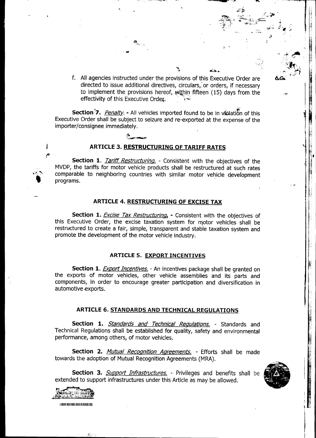f. All agencies instructed under the provisions of this Executive Order are directed to issue additional directives, circulars, or orders, if necessary to implement the provisions hereof, within fifteen (15) days from the effectivity of this Executive Order.

.~ ~:'~~~~: .t~ ;:

",,"' '"-""'" -~ , ".~

 $\mathbf{A}$  . The set of the set of the set of the set of the set of the set of the set of the set of the set of the set of the set of the set of the set of the set of the set of the set of the set of the set of the set of t

~ -"

. The set of  $\mathcal{H}_{\lambda}$ ..~. .-

 $\blacksquare$ 

Section 7. Penalty. - All vehicles imported found to be in violation of this Executive Order shall be subject to seizure and re-exported at the expense of the importer/consignee immediately.



 $\sum_{i=1}^n x_i$ 

## ARTICLE 3. RESTRUCTURING OF TARIFF RATES

Section 1. Tariff Restructuring. - Consistent with the objectives of the MVDP, the tariffs for motor vehicle products shall be restructured at such rates comparable to neighboring countries with similar motor vehicle development programs. , ,.

#### ARTICLE 4. RESTRUCTURING OF EXCISE TAX

Section 1. Excise Tax Restructuring. - Consistent with the objectives of this Executive Order, the excise taxation system for motor vehicles shall be restructured to create a fair, sjmple, transparent and stable taxation system and promote the development of the motor vehicle industry.

## ARTICLE 5. EXPORT INCENTIVES

Section 1. Export Incentives. - An incentives package shall be granted on the exports of motor vehicles, other vehicle assemblies and its parts and components, in order to encourage greater participation and diversification in automotive exports.

#### ARTICLE 6. STANDARDS AND TECHNICAL REGULATIONS

Section 1. **Standards and Technical Regulations.** - Standards and Technical Regulations shall be established for quality, safety and environmental performance, among others, of motor vehicles.

Section 2. Mutual Recognition Agreements. - Efforts shall be made towards the adoption of Mutual Recognition Agreements (MRA).

Section 3. *Support Infrastructures*. - Privileges and benefits shall be extended to support infrastructures under this Article as may be allowed.



",'

~ .,

 $i$  ;

 $\mathbf{r}$ 

 $\mathbf{r}$ 

I

 $\frac{1}{2}$ I o~



~

 $\overline{\phantom{a}}$ 

11111111111111111111111111111111111 II ;;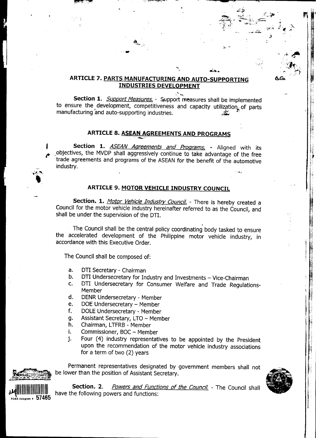## ARTICLE 7. PARTS MANUFACTURING AND AUTO-SUPPORTING **INDUSTRIES DEVELOPMENT**

Section 1. *Support Measures*. - Support measures shall be implemented to ensure the development, competitiveness and capacity utilization. of parts manufacturing and auto-supporting industries.

## ARTICLE 8. ASEAN AGREEMENTS AND PROGRAMS

Section 1. ASEAN Agreements and Programs. - Aligned with its objectives, the MVDP shall aggressively continue to take advantage of the free trade agreements and programs of the ASEAN for the benefit of the automotive industry.

## **ARTICLE 9. MOTOR VEHICLE INDUSTRY COUNCIL**

Section. 1. Motor Vehicle Industry Council. - There is hereby created a Council for the motor vehicle industry hereinafter referred to as the Council, and shall be under the supervision of the DTI.

The Council shall be the central policy coordinating body tasked to ensure the accelerated development of the Philippine motor vehicle industry, in accordance with this Executive Order.

The Council shall be composed of:

- DTI Secretary Chairman a.
- DTI Undersecretary for Industry and Investments Vice-Chairman b.
- DTI Undersecretary for Consumer Welfare and Trade Regulations- $C_{\bullet}$ Member
- d. DENR Undersecretary - Member
- DOE Undersecretary Member e.
- DOLE Undersecretary Member f.
- Assistant Secretary, LTO Member q.
- Chairman, LTFRB Member h.
- i. Commissioner, BOC - Member
- Four (4) industry representatives to be appointed by the President j. upon the recommendation of the motor vehicle industry associations for a term of two (2) years

Permanent representatives designated by government members shall not be lower than the position of Assistant Secretary.





Section. 2. Powers and Functions of the Council. - The Council shall have the following powers and functions: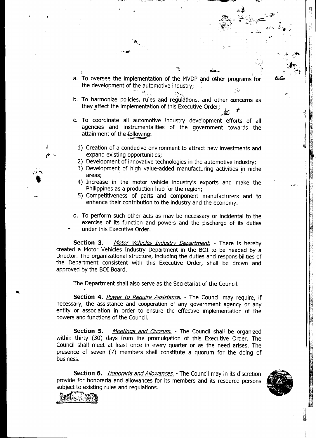a. To oversee the implementation of the MVDP and other programs for the development of the automotive industry;  $\mathbb{R}^{\mathbb{N}}$  (see Fig. ). The contract of  $\mathbb{R}^{\mathbb{N}}$ 

..1;~j"' o~~~i"~ .' j l:

.-." .

 $\mathcal{A}$  and  $\mathcal{A}$  . The second contract of  $\mathcal{A}$  , and  $\mathcal{A}$  , and  $\mathcal{A}$  , and  $\mathcal{A}$  , and  $\mathcal{A}$  , and  $\mathcal{A}$  , and  $\mathcal{A}$  , and  $\mathcal{A}$  , and  $\mathcal{A}$  , and  $\mathcal{A}$  , and  $\mathcal{A}$  , and  $\mathcal{A}$ 

 $\mathbf{A}_{\mu}$  ; and the set of the set of the set of the set of the set of the set of the set of the set of the set of the set of the set of the set of the set of the set of the set of the set of the set of the set of the s

 $^{\circ}$  . The set of the set of the set of the set of the set of the set of the set of the set of the set of the set of the set of the set of the set of the set of the set of the set of the set of the set of the set of the

.., ~ ..:tc 1':~

, and the set of the set of the set of the set of the set of the set of the set of the set of the set of the set of the set of the set of the set of the set of the set of the set of the set of the set of the set of the se

-.-

 $\blacksquare$   $\blacksquare$   $\blacksquare$   $\blacksquare$   $\blacksquare$   $\blacksquare$ 

~'" I" ~ -~~ ;,.. ~" '~, ",~ [cof

 $\ddot{\phantom{a}}$ 

 $\lambda$ ,  $\lambda$ ,  $\lambda$ 

,"

'1'1 ,

i

I' |<br>|}

 $~\cdot~$  .

,.  $\mathbf{H}_\mathrm{e}$ 

> i  $\ddot{\phantom{0}}$

- b. To harmonize policies, rules and regulations, and other concerns as they affect the implementation of this Executive Order;  $\frac{1}{\sqrt{2}}$  ,  $\frac{1}{\sqrt{2}}$  ,  $\frac{1}{\sqrt{2}}$  ,  $\frac{1}{\sqrt{2}}$  ,  $\frac{1}{\sqrt{2}}$  ,  $\frac{1}{\sqrt{2}}$  ,  $\frac{1}{\sqrt{2}}$  ,  $\frac{1}{\sqrt{2}}$
- C. To coordinate all automotive industry development efforts of all agencies and instrumentalities of the government towards the strain and the strainment of the following:
	- 1) Creation of a conducive environment to attract new investments and expand existing opportunities;
	- 2) Development of innovative technologies in the automotive industry:
	- 3) Development of high value-added manufacturing activities in niche areas:
	- 4) Increase in the motor vehicle industry's exports and make the Philippines as a production hub for the region;
	- 5) Competitiveness of parts and component manufacturers and to enhance their contribution to the industry and the economy.
- d. To perform such other acts as may be necessary or incidental to the 1 exercise of its function and powers and the discharge of its duties
- under this Executive Order.

Section 3. Motor Vehicles Industry Department. - There is hereby created a Motor Vehicles Industry Department in the BOI to be headed by a Director. The organizational structure, including the duties and responsibilities of the Department consistent with this Executive Order, shall be drawn and approved by the BOI Board.

The Department shall also serve as the Secretariat of the Council. \;

Section 4. *Power to Require Assistance*. - The Council may require, if necessary, the assistance and cooperation of any government agency or any entity or association in order to ensure the effective implementation of the powers and functions of the Council.

Section 5. Meetings and Quorum. - The Council shall be organized within thirty (30) days from the promulgation of this Executive Order. The Council shall meet at least once in every quarter or as the need arises. The presence of seven (7) members shall constitute a quorum for the doing of business.

Section 6. *Honoraria and Allowances*. - The Council may in its discretion provide for honoraria and allowances for its members and its resource persons ~ subject to existing rules and regulations.





 $\blacksquare$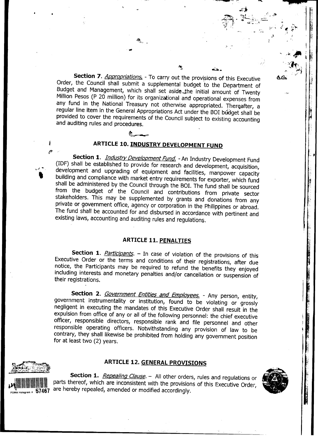Section 7. Appropriations. - To carry out the provisions of this Executive Order, the Council shall submit a supplemental budget to the Department of Budget and Management, which shall set aside the initial amount of Twenty Million Pesos (P 20 million) for its organizational and operational expenses from any fund in the National Treasury not otherwise appropriated. Thereafter, a regular line item in the General Appropriations Act under the BOI budget shall be provided to cover the requirements of the Council subject to existing accounting and auditing rules and procedures.

# ARTICLE 10. INDUSTRY DEVELOPMENT FUND

Section 1. *Industry Development Fund.* - An Industry Development Fund (IDF) shall be established to provide for research and development, acquisition, development and upgrading of equipment and facilities, manpower capacity building and compliance with market entry requirements for exporter, which fund shall be administered by the Council through the BOI. The fund shall be sourced from the budget of the Council and contributions from private sector stakeholders. This may be supplemented by grants and donations from any private or government office, agency or corporation in the Philippines or abroad. The fund shall be accounted for and disbursed in accordance with pertinent and existing laws, accounting and auditing rules and requlations.

## **ARTICLE 11. PENALTIES**

Section 1. *Participants*. - In case of violation of the provisions of this Executive Order or the terms and conditions of their registrations, after due notice, the Participants may be required to refund the benefits they enjoyed including interests and monetary penalties and/or cancellation or suspension of their registrations.

Section 2. Government Entities and Employees. - Any person, entity, government instrumentality or institution, found to be violating or grossly negligent in executing the mandates of this Executive Order shall result in the expulsion from office of any or all of the following personnel: the chief executive officer, responsible directors, responsible rank and file personnel and other responsible operating officers. Notwithstanding any provision of law to be contrary, they shall likewise be prohibited from holding any government position for at least two (2) years.

## **ARTICLE 12. GENERAL PROVISIONS**

Section 1. Repealing Clause. - All other orders, rules and regulations or parts thereof, which are inconsistent with the provisions of this Executive Order, are hereby repealed, amended or modified accordingly.